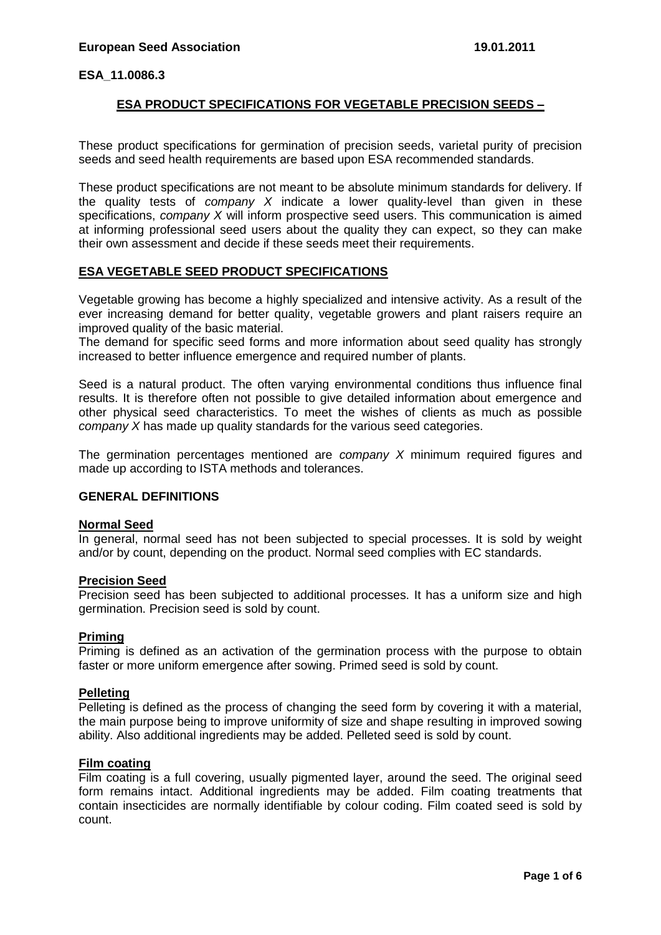# **ESA PRODUCT SPECIFICATIONS FOR VEGETABLE PRECISION SEEDS –**

These product specifications for germination of precision seeds, varietal purity of precision seeds and seed health requirements are based upon ESA recommended standards.

These product specifications are not meant to be absolute minimum standards for delivery. If the quality tests of *company X* indicate a lower quality-level than given in these specifications, *company X* will inform prospective seed users. This communication is aimed at informing professional seed users about the quality they can expect, so they can make their own assessment and decide if these seeds meet their requirements.

## **ESA VEGETABLE SEED PRODUCT SPECIFICATIONS**

Vegetable growing has become a highly specialized and intensive activity. As a result of the ever increasing demand for better quality, vegetable growers and plant raisers require an improved quality of the basic material.

The demand for specific seed forms and more information about seed quality has strongly increased to better influence emergence and required number of plants.

Seed is a natural product. The often varying environmental conditions thus influence final results. It is therefore often not possible to give detailed information about emergence and other physical seed characteristics. To meet the wishes of clients as much as possible *company X* has made up quality standards for the various seed categories.

The germination percentages mentioned are *company X* minimum required figures and made up according to ISTA methods and tolerances.

## **GENERAL DEFINITIONS**

## **Normal Seed**

In general, normal seed has not been subjected to special processes. It is sold by weight and/or by count, depending on the product. Normal seed complies with EC standards.

#### **Precision Seed**

Precision seed has been subjected to additional processes. It has a uniform size and high germination. Precision seed is sold by count.

## **Priming**

Priming is defined as an activation of the germination process with the purpose to obtain faster or more uniform emergence after sowing. Primed seed is sold by count.

## **Pelleting**

Pelleting is defined as the process of changing the seed form by covering it with a material, the main purpose being to improve uniformity of size and shape resulting in improved sowing ability. Also additional ingredients may be added. Pelleted seed is sold by count.

#### **Film coating**

Film coating is a full covering, usually pigmented layer, around the seed. The original seed form remains intact. Additional ingredients may be added. Film coating treatments that contain insecticides are normally identifiable by colour coding. Film coated seed is sold by count.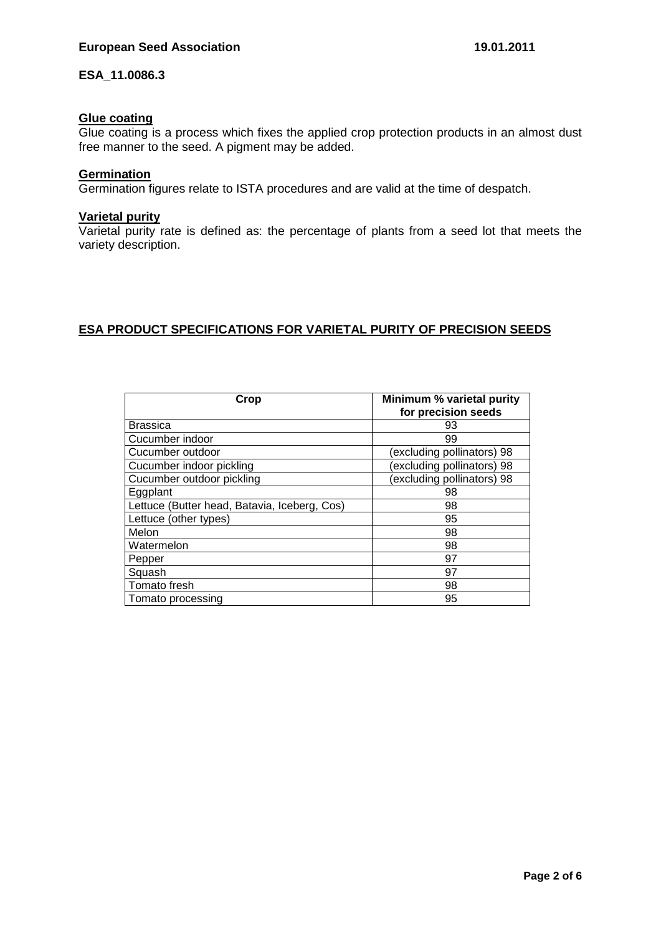# **Glue coating**

Glue coating is a process which fixes the applied crop protection products in an almost dust free manner to the seed. A pigment may be added.

### **Germination**

Germination figures relate to ISTA procedures and are valid at the time of despatch.

# **Varietal purity**

Varietal purity rate is defined as: the percentage of plants from a seed lot that meets the variety description.

## **ESA PRODUCT SPECIFICATIONS FOR VARIETAL PURITY OF PRECISION SEEDS**

| Crop                                         | Minimum % varietal purity<br>for precision seeds |  |
|----------------------------------------------|--------------------------------------------------|--|
| <b>Brassica</b>                              | 93                                               |  |
| Cucumber indoor                              | 99                                               |  |
| Cucumber outdoor                             | (excluding pollinators) 98                       |  |
| Cucumber indoor pickling                     | excluding pollinators) 98                        |  |
| Cucumber outdoor pickling                    | (excluding pollinators) 98                       |  |
| Eggplant                                     | 98                                               |  |
| Lettuce (Butter head, Batavia, Iceberg, Cos) | 98                                               |  |
| Lettuce (other types)                        | 95                                               |  |
| Melon                                        | 98                                               |  |
| Watermelon                                   | 98                                               |  |
| Pepper                                       | 97                                               |  |
| Squash                                       | 97                                               |  |
| Tomato fresh                                 | 98                                               |  |
| Tomato processing                            | 95                                               |  |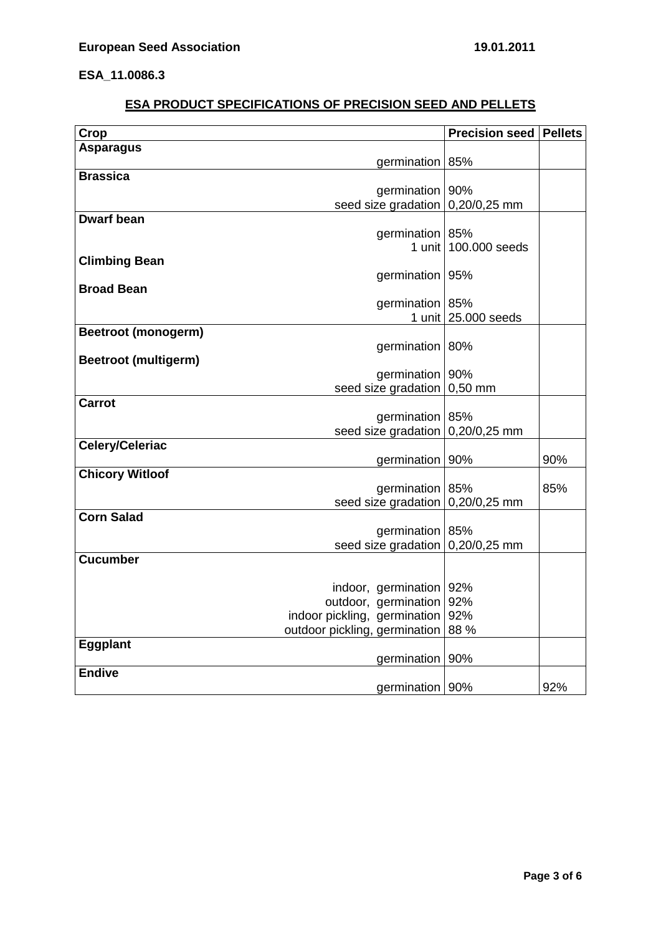# **ESA PRODUCT SPECIFICATIONS OF PRECISION SEED AND PELLETS**

| Crop                        |                               | Precision seed      | <b>Pellets</b> |
|-----------------------------|-------------------------------|---------------------|----------------|
| <b>Asparagus</b>            |                               |                     |                |
|                             | germination 85%               |                     |                |
| <b>Brassica</b>             |                               |                     |                |
|                             | germination<br>90%            |                     |                |
|                             | seed size gradation           | 0,20/0,25 mm        |                |
| <b>Dwarf bean</b>           |                               |                     |                |
|                             | germination 85%               |                     |                |
|                             | 1 unit                        | 100,000 seeds       |                |
| <b>Climbing Bean</b>        |                               |                     |                |
|                             | germination                   | 95%                 |                |
| <b>Broad Bean</b>           |                               |                     |                |
|                             | germination   85%             |                     |                |
|                             |                               | 1 unit 25,000 seeds |                |
| <b>Beetroot (monogerm)</b>  |                               |                     |                |
|                             | germination                   | 80%                 |                |
| <b>Beetroot (multigerm)</b> |                               |                     |                |
|                             | germination                   | 90%                 |                |
| <b>Carrot</b>               | seed size gradation           | $0,50$ mm           |                |
|                             | germination                   | 85%                 |                |
|                             | seed size gradation           | 0,20/0,25 mm        |                |
| <b>Celery/Celeriac</b>      |                               |                     |                |
|                             | germination   90%             |                     | 90%            |
| <b>Chicory Witloof</b>      |                               |                     |                |
|                             | germination 85%               |                     | 85%            |
|                             | seed size gradation           | $0,20/0,25$ mm      |                |
| <b>Corn Salad</b>           |                               |                     |                |
|                             | germination                   | 85%                 |                |
|                             | seed size gradation           | 0,20/0,25 mm        |                |
| <b>Cucumber</b>             |                               |                     |                |
|                             |                               |                     |                |
|                             | indoor, germination           | 92%                 |                |
|                             | outdoor, germination          | 92%                 |                |
|                             | indoor pickling, germination  | 92%                 |                |
|                             | outdoor pickling, germination | 88 %                |                |
| <b>Eggplant</b>             |                               |                     |                |
|                             | germination   90%             |                     |                |
| <b>Endive</b>               |                               |                     |                |
|                             | germination   90%             |                     | 92%            |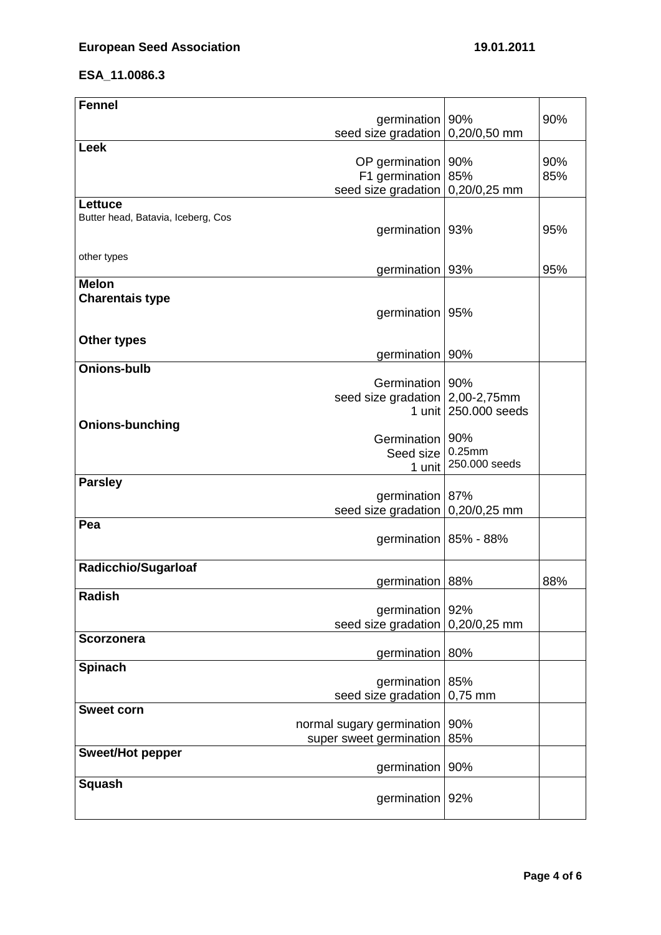| <b>Fennel</b>                      |                                     |                      |     |
|------------------------------------|-------------------------------------|----------------------|-----|
|                                    | germination   90%                   |                      | 90% |
|                                    | seed size gradation                 | 0,20/0,50 mm         |     |
| <b>Leek</b>                        |                                     |                      |     |
|                                    | OP germination   90%                |                      | 90% |
|                                    | F1 germination                      | 85%                  | 85% |
|                                    | seed size gradation                 | 0,20/0,25 mm         |     |
| Lettuce                            |                                     |                      |     |
| Butter head, Batavia, Iceberg, Cos |                                     |                      |     |
|                                    | germination                         | 93%                  | 95% |
| other types                        |                                     |                      |     |
|                                    | germination   93%                   |                      | 95% |
| <b>Melon</b>                       |                                     |                      |     |
| <b>Charentais type</b>             |                                     |                      |     |
|                                    | germination                         | 95%                  |     |
|                                    |                                     |                      |     |
| <b>Other types</b>                 |                                     |                      |     |
|                                    | germination   90%                   |                      |     |
| <b>Onions-bulb</b>                 |                                     |                      |     |
|                                    | Germination 90%                     |                      |     |
|                                    | seed size gradation $ 2,00-2,75$ mm |                      |     |
|                                    |                                     | 1 unit 250,000 seeds |     |
| <b>Onions-bunching</b>             |                                     |                      |     |
|                                    | Germination   90%                   |                      |     |
|                                    | Seed size                           | 0.25mm               |     |
|                                    | 1 unit                              | 250.000 seeds        |     |
| <b>Parsley</b>                     |                                     |                      |     |
|                                    | germination                         | 87%                  |     |
| Pea                                | seed size gradation                 | 0,20/0,25 mm         |     |
|                                    | germination   85% - 88%             |                      |     |
|                                    |                                     |                      |     |
| <b>Radicchio/Sugarloaf</b>         |                                     |                      |     |
|                                    | germination 88%                     |                      | 88% |
| <b>Radish</b>                      |                                     |                      |     |
|                                    | germination                         | 92%                  |     |
|                                    | seed size gradation                 | 0,20/0,25 mm         |     |
| <b>Scorzonera</b>                  |                                     |                      |     |
|                                    | germination                         | 80%                  |     |
| <b>Spinach</b>                     |                                     |                      |     |
|                                    | germination                         | 85%                  |     |
|                                    | seed size gradation                 | $0,75$ mm            |     |
| <b>Sweet corn</b>                  |                                     |                      |     |
|                                    | normal sugary germination           | 90%                  |     |
|                                    | super sweet germination             | 85%                  |     |
| Sweet/Hot pepper                   |                                     |                      |     |
|                                    | germination                         | 90%                  |     |
| <b>Squash</b>                      |                                     |                      |     |
|                                    | germination                         | 92%                  |     |
|                                    |                                     |                      |     |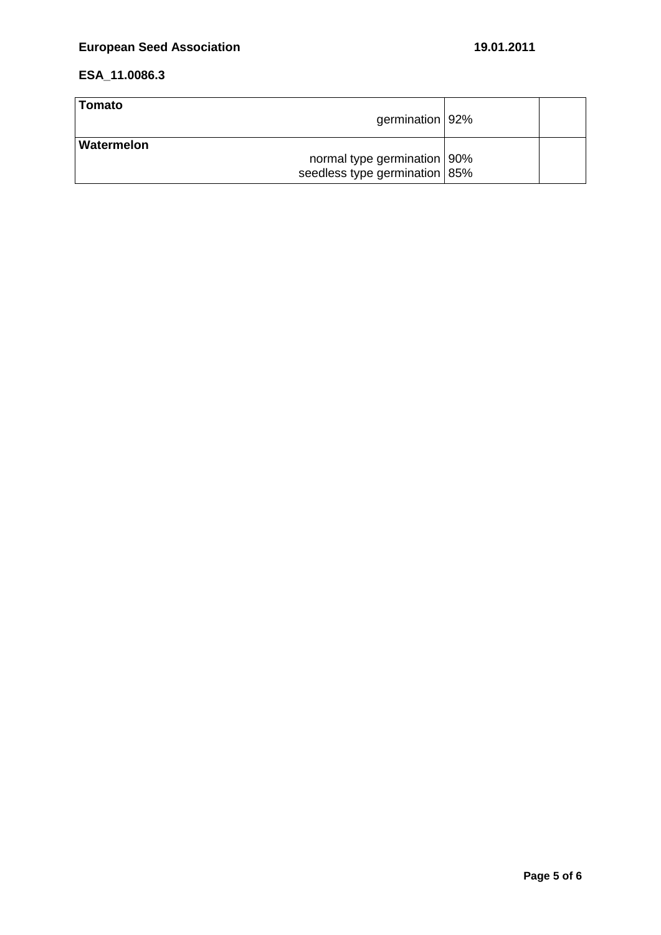| ∣Tomato<br>germination   92%                 |  |
|----------------------------------------------|--|
| Watermelon <br>normal type germination   90% |  |
| seedless type germination   85%              |  |